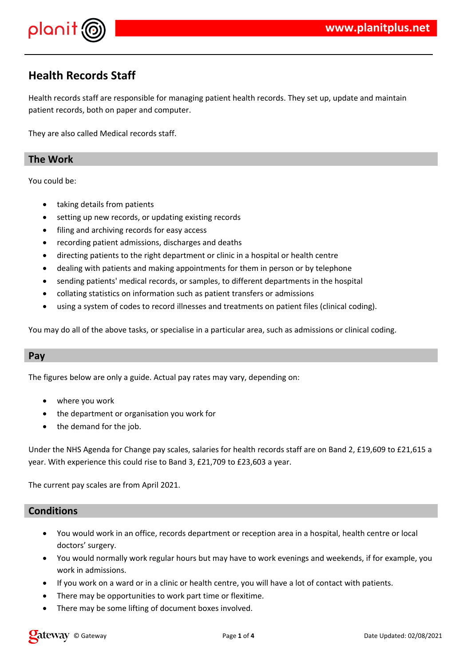

# **Health Records Staff**

Health records staff are responsible for managing patient health records. They set up, update and maintain patient records, both on paper and computer.

They are also called Medical records staff.

### **The Work**

You could be:

- taking details from patients
- setting up new records, or updating existing records
- filing and archiving records for easy access
- recording patient admissions, discharges and deaths
- directing patients to the right department or clinic in a hospital or health centre
- dealing with patients and making appointments for them in person or by telephone
- sending patients' medical records, or samples, to different departments in the hospital
- collating statistics on information such as patient transfers or admissions
- using a system of codes to record illnesses and treatments on patient files (clinical coding).

You may do all of the above tasks, or specialise in a particular area, such as admissions or clinical coding.

#### **Pay**

The figures below are only a guide. Actual pay rates may vary, depending on:

- where you work
- the department or organisation you work for
- the demand for the job.

Under the NHS Agenda for Change pay scales, salaries for health records staff are on Band 2, £19,609 to £21,615 a year. With experience this could rise to Band 3, £21,709 to £23,603 a year.

The current pay scales are from April 2021.

#### **Conditions**

- You would work in an office, records department or reception area in a hospital, health centre or local doctors' surgery.
- You would normally work regular hours but may have to work evenings and weekends, if for example, you work in admissions.
- If you work on a ward or in a clinic or health centre, you will have a lot of contact with patients.
- There may be opportunities to work part time or flexitime.
- There may be some lifting of document boxes involved.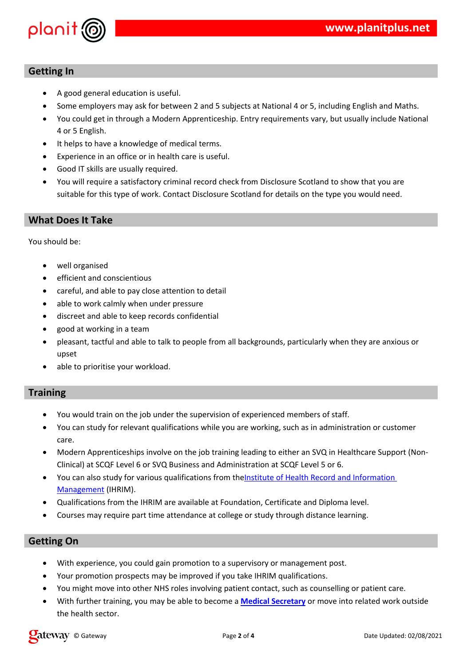





 $\mathbf{I}$ 





| \$             |                                                                                                          | $\sim$ $\sim$ |                           | />? /" * @ |  |
|----------------|----------------------------------------------------------------------------------------------------------|---------------|---------------------------|------------|--|
| $\overline{0}$ | / <b>+0</b> ? AB ( <b>4</b> > ?1 "                                                                       |               | /0?A B (5                 |            |  |
| % "            | $\blacksquare$ $\blacksquare$ $\blacksquare$ $\blacksquare$ $\blacksquare$ $\blacksquare$ $\blacksquare$ |               |                           |            |  |
| $\mathsf{\$}$  | $\frac{*}{-}$ $\cdot$ C : \$ +                                                                           |               |                           |            |  |
| $?$ "          | $\therefore$ C: \$                                                                                       | $(A'' \ 0 \#$ |                           |            |  |
| $0$ "          | $=$ "                                                                                                    |               | $\mathbf{u}$ $\mathbf{u}$ |            |  |

| 6                      |  | #"<br>$\sim$ 10 $\,$ |           |  | $\mathbf{r}$ ( |          |              |  |
|------------------------|--|----------------------|-----------|--|----------------|----------|--------------|--|
| $\frac{9}{6}$ "<br>% " |  |                      |           |  |                | &: C:\$" |              |  |
|                        |  |                      |           |  |                |          |              |  |
|                        |  |                      | $\cdot$ / |  |                | " #      | $\mathbf{H}$ |  |
| ĥ                      |  |                      | H         |  |                |          |              |  |
|                        |  |                      |           |  |                |          |              |  |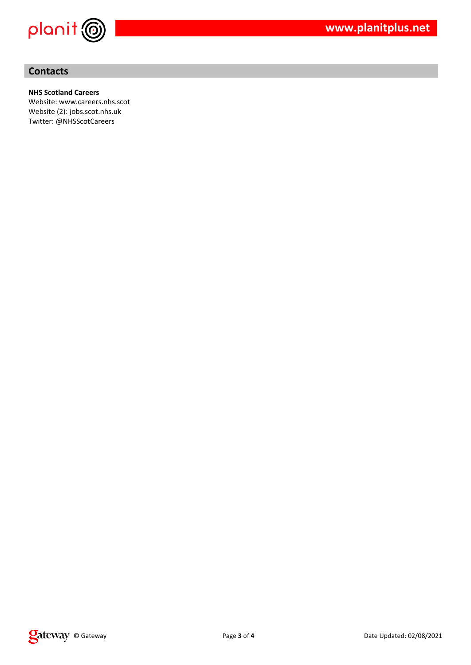

## **Contacts**

#### **NHS Scotland Careers**

Website: www.careers.nhs.scot Website (2): jobs.scot.nhs.uk Twitter: @NHSScotCareers